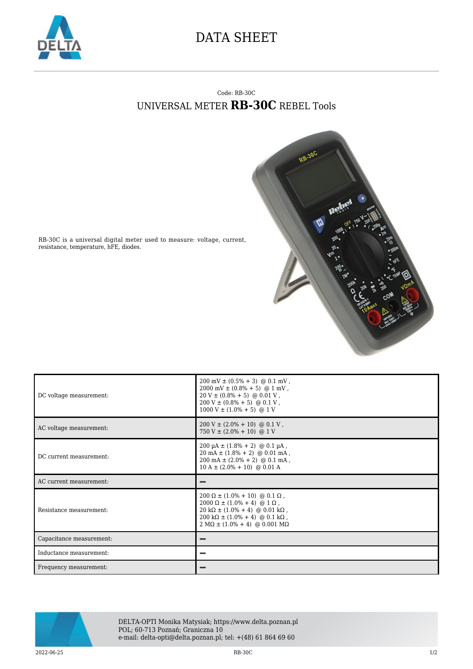

## DATA SHEET

## Code: RB-30C UNIVERSAL METER **RB-30C** REBEL Tools



RB-30C is a universal digital meter used to measure: voltage, current, resistance, temperature, hFE, diodes.

| DC voltage measurement:  | $200 \text{ mV} \pm (0.5\% + 3) \text{ @ } 0.1 \text{ mV}$ ,<br>$2000 \text{ mV} \pm (0.8\% + 5) \text{ @ } 1 \text{ mV}$ ,<br>$20 V \pm (0.8\% + 5)$ @ 0.01 V,<br>$200 V \pm (0.8\% + 5)$ @ 0.1 V,<br>$1000 V \pm (1.0\% + 5)$ @ 1 V |
|--------------------------|---------------------------------------------------------------------------------------------------------------------------------------------------------------------------------------------------------------------------------------|
| AC voltage measurement:  | $200 \text{ V} \pm (2.0\% + 10) \text{ @ } 0.1 \text{ V}$ ,<br>$750 V \pm (2.0\% + 10)$ @ 1 V                                                                                                                                         |
| DC current measurement:  | $200 \mu A \pm (1.8\% + 2) \text{ @ } 0.1 \mu A$ ,<br>$20 \text{ mA} \pm (1.8\% + 2) \text{ @ } 0.01 \text{ mA}$ ,<br>$200 \text{ mA} \pm (2.0\% + 2) \text{ @ } 0.1 \text{ mA}$ ,<br>$10 A \pm (2.0\% + 10)$ @ 0.01 A                |
| AC current measurement:  |                                                                                                                                                                                                                                       |
|                          |                                                                                                                                                                                                                                       |
| Resistance measurement:  | $200 \Omega \pm (1.0\% + 10) \text{ @ } 0.1 \Omega$ ,<br>$2000 \Omega \pm (1.0\% + 4) \text{ @ } 1 \Omega$ ,<br>$20 k\Omega \pm (1.0\% + 4)$ @ 0.01 k $\Omega$ ,<br>$2 M\Omega \pm (1.0\% + 4) \text{ @ } 0.001 M\Omega$              |
| Capacitance measurement: |                                                                                                                                                                                                                                       |
| Inductance measurement:  |                                                                                                                                                                                                                                       |



DELTA-OPTI Monika Matysiak; https://www.delta.poznan.pl POL; 60-713 Poznań; Graniczna 10 e-mail: delta-opti@delta.poznan.pl; tel: +(48) 61 864 69 60